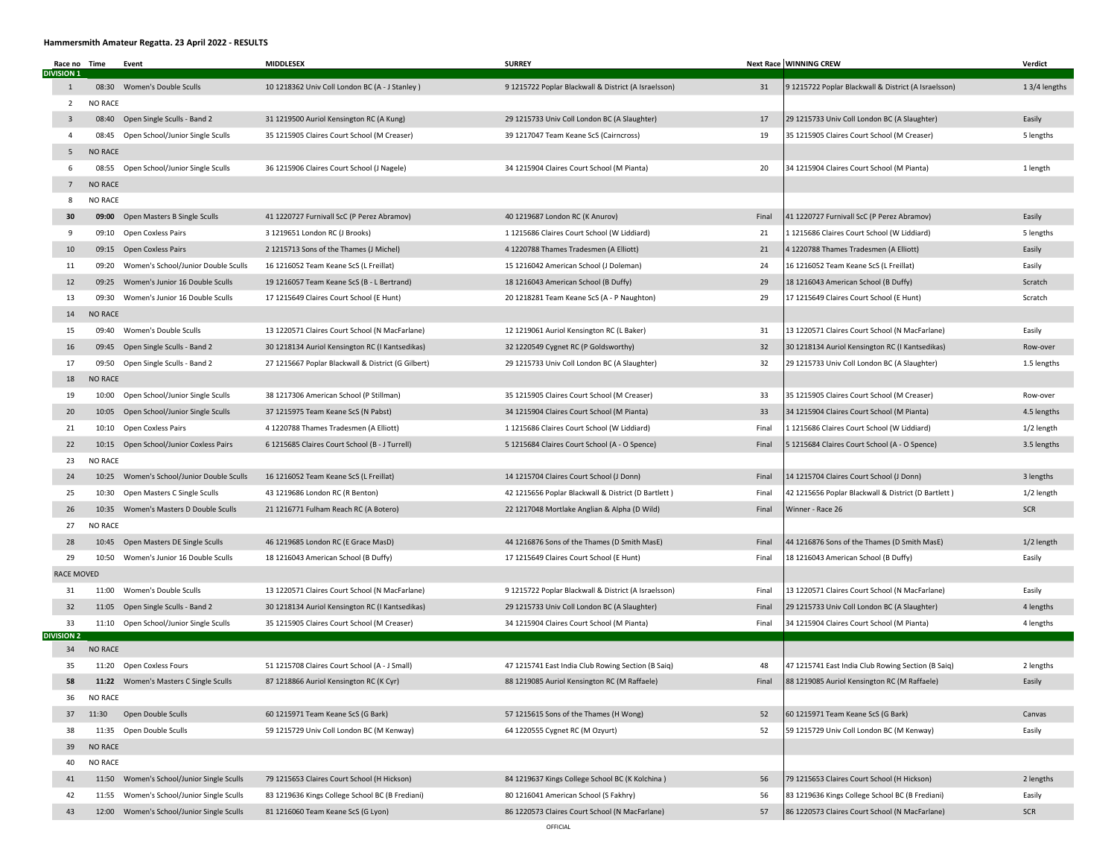## Hammersmith Amateur Regatta. 23 April 2022 - RESULTS

|                   | Race no Time            |                | Event                                     | <b>MIDDLESEX</b>                                   | <b>SURREY</b>                                        |       | <b>Next Race WINNING CREW</b>                        | Verdict      |
|-------------------|-------------------------|----------------|-------------------------------------------|----------------------------------------------------|------------------------------------------------------|-------|------------------------------------------------------|--------------|
| <b>DIVISION 1</b> | $\mathbf{1}$            | 08:30          | Women's Double Sculls                     | 10 1218362 Univ Coll London BC (A - J Stanley)     | 9 1215722 Poplar Blackwall & District (A Israelsson) | 31    | 9 1215722 Poplar Blackwall & District (A Israelsson) | 13/4 lengths |
|                   | $\overline{2}$          | <b>NO RACE</b> |                                           |                                                    |                                                      |       |                                                      |              |
|                   | $\overline{\mathbf{3}}$ | 08:40          | Open Single Sculls - Band 2               | 31 1219500 Auriol Kensington RC (A Kung)           | 29 1215733 Univ Coll London BC (A Slaughter)         | 17    | 29 1215733 Univ Coll London BC (A Slaughter)         | Easily       |
|                   | $\overline{4}$          | 08:45          | Open School/Junior Single Sculls          | 35 1215905 Claires Court School (M Creaser)        | 39 1217047 Team Keane ScS (Cairncross)               | 19    | 35 1215905 Claires Court School (M Creaser)          | 5 lengths    |
|                   | 5                       | <b>NO RACE</b> |                                           |                                                    |                                                      |       |                                                      |              |
|                   | 6                       |                | 08:55 Open School/Junior Single Sculls    | 36 1215906 Claires Court School (J Nagele)         | 34 1215904 Claires Court School (M Pianta)           | 20    | 34 1215904 Claires Court School (M Pianta)           | 1 length     |
|                   | $\overline{7}$          | <b>NO RACE</b> |                                           |                                                    |                                                      |       |                                                      |              |
|                   | 8                       | <b>NO RACE</b> |                                           |                                                    |                                                      |       |                                                      |              |
|                   | 30                      |                | 09:00 Open Masters B Single Sculls        | 41 1220727 Furnivall ScC (P Perez Abramov)         | 40 1219687 London RC (K Anurov)                      | Final | 41 1220727 Furnivall ScC (P Perez Abramov)           | Easily       |
|                   | 9                       |                | 09:10 Open Coxless Pairs                  | 3 1219651 London RC (J Brooks)                     | 1 1215686 Claires Court School (W Liddiard)          | 21    | 1 1215686 Claires Court School (W Liddiard)          | 5 lengths    |
|                   | 10                      |                | 09:15 Open Coxless Pairs                  | 2 1215713 Sons of the Thames (J Michel)            | 4 1220788 Thames Tradesmen (A Elliott)               | 21    | 4 1220788 Thames Tradesmen (A Elliott)               | Easily       |
|                   | 11                      | 09:20          | Women's School/Junior Double Sculls       | 16 1216052 Team Keane ScS (L Freillat)             | 15 1216042 American School (J Doleman)               | 24    | 16 1216052 Team Keane ScS (L Freillat)               | Easily       |
|                   | 12                      | 09:25          | Women's Junior 16 Double Sculls           | 19 1216057 Team Keane ScS (B - L Bertrand)         | 18 1216043 American School (B Duffy)                 | 29    | 18 1216043 American School (B Duffy)                 | Scratch      |
|                   | 13                      | 09:30          | Women's Junior 16 Double Sculls           | 17 1215649 Claires Court School (E Hunt)           | 20 1218281 Team Keane ScS (A - P Naughton)           | 29    | 17 1215649 Claires Court School (E Hunt)             | Scratch      |
|                   | 14                      | <b>NO RACE</b> |                                           |                                                    |                                                      |       |                                                      |              |
|                   | 15                      |                | 09:40 Women's Double Sculls               | 13 1220571 Claires Court School (N MacFarlane)     | 12 1219061 Auriol Kensington RC (L Baker)            | 31    | 13 1220571 Claires Court School (N MacFarlane)       | Easily       |
|                   | 16                      |                | 09:45 Open Single Sculls - Band 2         | 30 1218134 Auriol Kensington RC (I Kantsedikas)    | 32 1220549 Cygnet RC (P Goldsworthy)                 | 32    | 30 1218134 Auriol Kensington RC (I Kantsedikas)      | Row-over     |
|                   | 17                      | 09:50          | Open Single Sculls - Band 2               | 27 1215667 Poplar Blackwall & District (G Gilbert) | 29 1215733 Univ Coll London BC (A Slaughter)         | 32    | 29 1215733 Univ Coll London BC (A Slaughter)         | 1.5 lengths  |
|                   | 18                      | <b>NO RACE</b> |                                           |                                                    |                                                      |       |                                                      |              |
|                   | 19                      | 10:00          | Open School/Junior Single Sculls          | 38 1217306 American School (P Stillman)            | 35 1215905 Claires Court School (M Creaser)          | 33    | 35 1215905 Claires Court School (M Creaser)          | Row-over     |
|                   | 20                      | 10:05          | Open School/Junior Single Sculls          | 37 1215975 Team Keane ScS (N Pabst)                | 34 1215904 Claires Court School (M Pianta)           | 33    | 34 1215904 Claires Court School (M Pianta)           | 4.5 lengths  |
|                   | 21                      | 10:10          | Open Coxless Pairs                        | 4 1220788 Thames Tradesmen (A Elliott)             | 1 1215686 Claires Court School (W Liddiard)          | Final | 1 1215686 Claires Court School (W Liddiard)          | 1/2 length   |
|                   | 22                      | 10:15          | Open School/Junior Coxless Pairs          | 6 1215685 Claires Court School (B - J Turrell)     | 5 1215684 Claires Court School (A - O Spence)        | Final | 5 1215684 Claires Court School (A - O Spence)        | 3.5 lengths  |
|                   | 23                      | <b>NO RACE</b> |                                           |                                                    |                                                      |       |                                                      |              |
|                   | 24                      | 10:25          | Women's School/Junior Double Sculls       | 16 1216052 Team Keane ScS (L Freillat)             | 14 1215704 Claires Court School (J Donn)             | Final | 14 1215704 Claires Court School (J Donn)             | 3 lengths    |
|                   | 25                      | 10:30          | Open Masters C Single Sculls              | 43 1219686 London RC (R Benton)                    | 42 1215656 Poplar Blackwall & District (D Bartlett)  | Final | 42 1215656 Poplar Blackwall & District (D Bartlett)  | 1/2 length   |
|                   | 26                      | 10:35          | Women's Masters D Double Sculls           | 21 1216771 Fulham Reach RC (A Botero)              | 22 1217048 Mortlake Anglian & Alpha (D Wild)         | Final | Winner - Race 26                                     | <b>SCR</b>   |
|                   | 27                      | <b>NO RACE</b> |                                           |                                                    |                                                      |       |                                                      |              |
|                   | 28                      |                | 10:45 Open Masters DE Single Sculls       | 46 1219685 London RC (E Grace MasD)                | 44 1216876 Sons of the Thames (D Smith MasE)         | Final | 44 1216876 Sons of the Thames (D Smith MasE)         | 1/2 length   |
|                   | 29                      |                | 10:50 Women's Junior 16 Double Sculls     | 18 1216043 American School (B Duffy)               | 17 1215649 Claires Court School (E Hunt)             | Final | 18 1216043 American School (B Duffy)                 | Easily       |
|                   | <b>RACE MOVED</b>       |                |                                           |                                                    |                                                      |       |                                                      |              |
|                   | 31                      |                | 11:00 Women's Double Sculls               | 13 1220571 Claires Court School (N MacFarlane)     | 9 1215722 Poplar Blackwall & District (A Israelsson) | Final | 13 1220571 Claires Court School (N MacFarlane)       | Easily       |
|                   | 32                      |                | 11:05 Open Single Sculls - Band 2         | 30 1218134 Auriol Kensington RC (I Kantsedikas)    | 29 1215733 Univ Coll London BC (A Slaughter)         | Final | 29 1215733 Univ Coll London BC (A Slaughter)         | 4 lengths    |
| <b>DIVISION 2</b> | 33                      |                | 11:10 Open School/Junior Single Sculls    | 35 1215905 Claires Court School (M Creaser)        | 34 1215904 Claires Court School (M Pianta)           | Final | 34 1215904 Claires Court School (M Pianta)           | 4 lengths    |
|                   | 34                      | <b>NO RACE</b> |                                           |                                                    |                                                      |       |                                                      |              |
|                   | 35                      |                | 11:20 Open Coxless Fours                  | 51 1215708 Claires Court School (A - J Small)      | 47 1215741 East India Club Rowing Section (B Saiq)   | 48    | 47 1215741 East India Club Rowing Section (B Saiq)   | 2 lengths    |
|                   | 58                      |                | 11:22 Women's Masters C Single Sculls     | 87 1218866 Auriol Kensington RC (K Cyr)            | 88 1219085 Auriol Kensington RC (M Raffaele)         | Final | 88 1219085 Auriol Kensington RC (M Raffaele)         | Easily       |
|                   | 36                      | <b>NO RACE</b> |                                           |                                                    |                                                      |       |                                                      |              |
|                   | 37                      | 11:30          | Open Double Sculls                        | 60 1215971 Team Keane ScS (G Bark)                 | 57 1215615 Sons of the Thames (H Wong)               | 52    | 60 1215971 Team Keane ScS (G Bark)                   | Canvas       |
|                   | 38                      | 11:35          | Open Double Sculls                        | 59 1215729 Univ Coll London BC (M Kenway)          | 64 1220555 Cygnet RC (M Ozyurt)                      | 52    | 59 1215729 Univ Coll London BC (M Kenway)            | Easily       |
|                   | 39                      | <b>NO RACE</b> |                                           |                                                    |                                                      |       |                                                      |              |
|                   | 40                      | <b>NO RACE</b> |                                           |                                                    |                                                      |       |                                                      |              |
|                   | 41                      | 11:50          | Women's School/Junior Single Sculls       | 79 1215653 Claires Court School (H Hickson)        | 84 1219637 Kings College School BC (K Kolchina)      | 56    | 79 1215653 Claires Court School (H Hickson)          | 2 lengths    |
|                   | 42                      | 11:55          | Women's School/Junior Single Sculls       | 83 1219636 Kings College School BC (B Frediani)    | 80 1216041 American School (S Fakhry)                | 56    | 83 1219636 Kings College School BC (B Frediani)      | Easily       |
|                   | 43                      |                | 12:00 Women's School/Junior Single Sculls | 81 1216060 Team Keane ScS (G Lyon)                 | 86 1220573 Claires Court School (N MacFarlane)       | 57    | 86 1220573 Claires Court School (N MacFarlane)       | SCR          |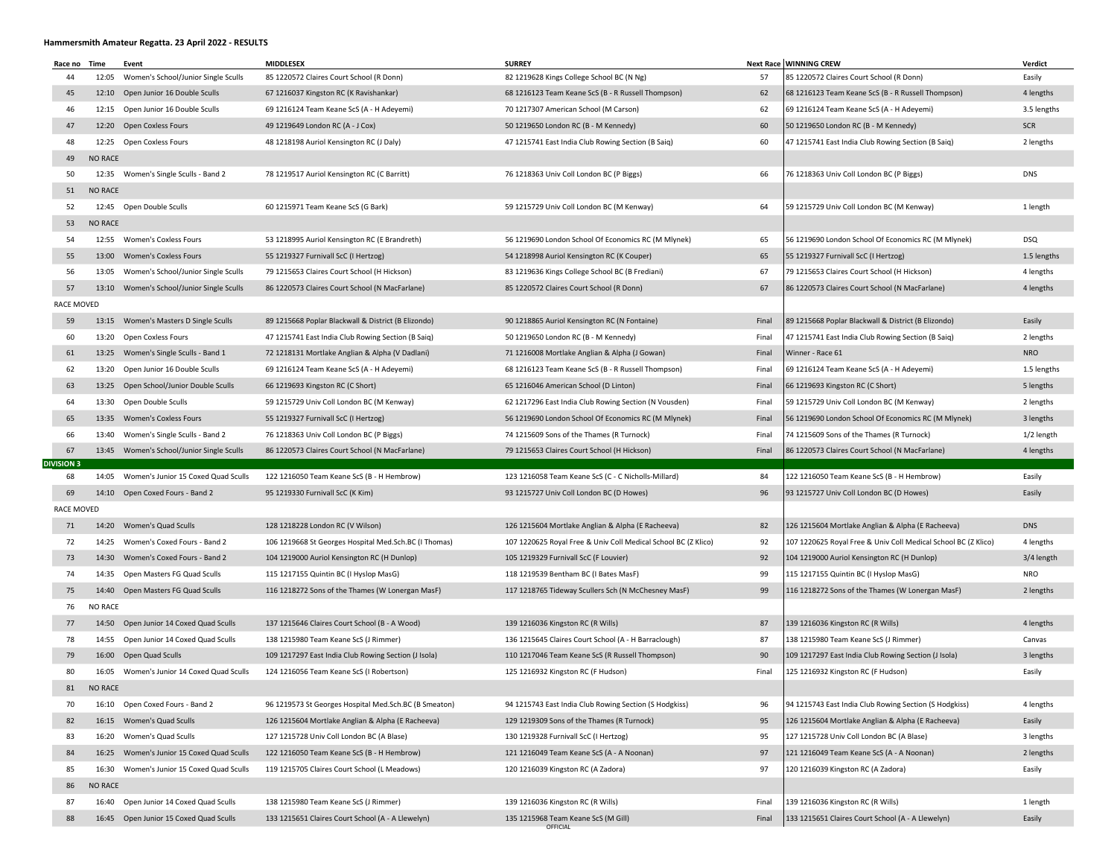## Hammersmith Amateur Regatta. 23 April 2022 - RESULTS

| Race no Time      |                | Event                                     | <b>MIDDLESEX</b>                                      | <b>SURREY</b>                                                  |       | <b>Next Race WINNING CREW</b>                                  | Verdict     |
|-------------------|----------------|-------------------------------------------|-------------------------------------------------------|----------------------------------------------------------------|-------|----------------------------------------------------------------|-------------|
| 44                |                | 12:05 Women's School/Junior Single Sculls | 85 1220572 Claires Court School (R Donn)              | 82 1219628 Kings College School BC (N Ng)                      | 57    | 85 1220572 Claires Court School (R Donn)                       | Easily      |
| 45                |                | 12:10 Open Junior 16 Double Sculls        | 67 1216037 Kingston RC (K Ravishankar)                | 68 1216123 Team Keane ScS (B - R Russell Thompson)             | 62    | 68 1216123 Team Keane ScS (B - R Russell Thompson)             | 4 lengths   |
| 46                |                | 12:15 Open Junior 16 Double Sculls        | 69 1216124 Team Keane ScS (A - H Adeyemi)             | 70 1217307 American School (M Carson)                          | 62    | 69 1216124 Team Keane ScS (A - H Adeyemi)                      | 3.5 lengths |
| 47                |                | 12:20 Open Coxless Fours                  | 49 1219649 London RC (A - J Cox)                      | 50 1219650 London RC (B - M Kennedy)                           | 60    | 50 1219650 London RC (B - M Kennedy)                           | <b>SCR</b>  |
| 48                |                | 12:25 Open Coxless Fours                  | 48 1218198 Auriol Kensington RC (J Daly)              | 47 1215741 East India Club Rowing Section (B Saiq)             | 60    | 47 1215741 East India Club Rowing Section (B Saiq)             | 2 lengths   |
| 49                | <b>NO RACE</b> |                                           |                                                       |                                                                |       |                                                                |             |
| 50                | 12:35          | Women's Single Sculls - Band 2            | 78 1219517 Auriol Kensington RC (C Barritt)           | 76 1218363 Univ Coll London BC (P Biggs)                       | 66    | 76 1218363 Univ Coll London BC (P Biggs)                       | DNS         |
| 51                | <b>NO RACE</b> |                                           |                                                       |                                                                |       |                                                                |             |
| 52                |                | 12:45 Open Double Sculls                  | 60 1215971 Team Keane ScS (G Bark)                    | 59 1215729 Univ Coll London BC (M Kenway)                      | 64    | 59 1215729 Univ Coll London BC (M Kenway)                      | 1 length    |
| 53                | <b>NO RACE</b> |                                           |                                                       |                                                                |       |                                                                |             |
| 54                |                | 12:55 Women's Coxless Fours               | 53 1218995 Auriol Kensington RC (E Brandreth)         | 56 1219690 London School Of Economics RC (M Mlynek)            | 65    | 56 1219690 London School Of Economics RC (M Mlynek)            | DSQ         |
| 55                |                | 13:00 Women's Coxless Fours               | 55 1219327 Furnivall ScC (I Hertzog)                  | 54 1218998 Auriol Kensington RC (K Couper)                     | 65    | 55 1219327 Furnivall ScC (I Hertzog)                           | 1.5 lengths |
| 56                | 13:05          | Women's School/Junior Single Sculls       | 79 1215653 Claires Court School (H Hickson)           | 83 1219636 Kings College School BC (B Frediani)                | 67    | 79 1215653 Claires Court School (H Hickson)                    | 4 lengths   |
| 57                |                | 13:10 Women's School/Junior Single Sculls | 86 1220573 Claires Court School (N MacFarlane)        | 85 1220572 Claires Court School (R Donn)                       | 67    | 86 1220573 Claires Court School (N MacFarlane)                 | 4 lengths   |
| <b>RACE MOVED</b> |                |                                           |                                                       |                                                                |       |                                                                |             |
| 59                |                | 13:15 Women's Masters D Single Sculls     | 89 1215668 Poplar Blackwall & District (B Elizondo)   | 90 1218865 Auriol Kensington RC (N Fontaine)                   | Final | 89 1215668 Poplar Blackwall & District (B Elizondo)            | Easily      |
| 60                |                | 13:20 Open Coxless Fours                  | 47 1215741 East India Club Rowing Section (B Saiq)    | 50 1219650 London RC (B - M Kennedy)                           | Final | 47 1215741 East India Club Rowing Section (B Saiq)             | 2 lengths   |
| 61                |                | 13:25 Women's Single Sculls - Band 1      | 72 1218131 Mortlake Anglian & Alpha (V Dadlani)       | 71 1216008 Mortlake Anglian & Alpha (J Gowan)                  | Final | Winner - Race 61                                               | <b>NRO</b>  |
| 62                |                | 13:20 Open Junior 16 Double Sculls        | 69 1216124 Team Keane ScS (A - H Adeyemi)             | 68 1216123 Team Keane ScS (B - R Russell Thompson)             | Final | 69 1216124 Team Keane ScS (A - H Adeyemi)                      | 1.5 lengths |
| 63                |                | 13:25 Open School/Junior Double Sculls    | 66 1219693 Kingston RC (C Short)                      | 65 1216046 American School (D Linton)                          | Final | 66 1219693 Kingston RC (C Short)                               | 5 lengths   |
| 64                |                | 13:30 Open Double Sculls                  | 59 1215729 Univ Coll London BC (M Kenway)             | 62 1217296 East India Club Rowing Section (N Vousden)          | Final | 59 1215729 Univ Coll London BC (M Kenway)                      | 2 lengths   |
| 65                |                | 13:35 Women's Coxless Fours               | 55 1219327 Furnivall ScC (I Hertzog)                  | 56 1219690 London School Of Economics RC (M Mlynek)            | Final | 56 1219690 London School Of Economics RC (M Mlynek)            | 3 lengths   |
| 66                | 13:40          | Women's Single Sculls - Band 2            | 76 1218363 Univ Coll London BC (P Biggs)              | 74 1215609 Sons of the Thames (R Turnock)                      | Final | 74 1215609 Sons of the Thames (R Turnock)                      | 1/2 length  |
| 67                |                | 13:45 Women's School/Junior Single Sculls | 86 1220573 Claires Court School (N MacFarlane)        | 79 1215653 Claires Court School (H Hickson)                    | Final | 86 1220573 Claires Court School (N MacFarlane)                 | 4 lengths   |
| <b>DIVISION 3</b> |                |                                           |                                                       |                                                                |       |                                                                |             |
| 68                | 14:05          | Women's Junior 15 Coxed Quad Sculls       | 122 1216050 Team Keane ScS (B - H Hembrow)            | 123 1216058 Team Keane ScS (C - C Nicholls-Millard)            | 84    | 122 1216050 Team Keane ScS (B - H Hembrow)                     | Easily      |
| 69                |                | 14:10 Open Coxed Fours - Band 2           | 95 1219330 Furnivall ScC (K Kim)                      | 93 1215727 Univ Coll London BC (D Howes)                       | 96    | 93 1215727 Univ Coll London BC (D Howes)                       | Easily      |
| <b>RACE MOVED</b> |                |                                           |                                                       |                                                                |       |                                                                |             |
| 71                |                | 14:20 Women's Quad Sculls                 | 128 1218228 London RC (V Wilson)                      | 126 1215604 Mortlake Anglian & Alpha (E Racheeva)              | 82    | 126 1215604 Mortlake Anglian & Alpha (E Racheeva)              | <b>DNS</b>  |
| 72                |                | 14:25 Women's Coxed Fours - Band 2        | 106 1219668 St Georges Hospital Med.Sch.BC (I Thomas) | 107 1220625 Royal Free & Univ Coll Medical School BC (Z Klico) | 92    | 107 1220625 Royal Free & Univ Coll Medical School BC (Z Klico) | 4 lengths   |
| 73                |                | 14:30 Women's Coxed Fours - Band 2        | 104 1219000 Auriol Kensington RC (H Dunlop)           | 105 1219329 Furnivall ScC (F Louvier)                          | 92    | 104 1219000 Auriol Kensington RC (H Dunlop)                    | 3/4 length  |
| 74                |                | 14:35 Open Masters FG Quad Sculls         | 115 1217155 Quintin BC (I Hyslop MasG)                | 118 1219539 Bentham BC (I Bates MasF)                          | 99    | 115 1217155 Quintin BC (I Hyslop MasG)                         | NRO         |
| 75                |                | 14:40 Open Masters FG Quad Sculls         | 116 1218272 Sons of the Thames (W Lonergan MasF)      | 117 1218765 Tideway Scullers Sch (N McChesney MasF)            | 99    | 116 1218272 Sons of the Thames (W Lonergan MasF)               | 2 lengths   |
| 76                | <b>NO RACE</b> |                                           |                                                       |                                                                |       |                                                                |             |
| 77                |                | 14:50 Open Junior 14 Coxed Quad Sculls    | 137 1215646 Claires Court School (B - A Wood)         | 139 1216036 Kingston RC (R Wills)                              | 87    | 139 1216036 Kingston RC (R Wills)                              | 4 lengths   |
| 78                |                | 14:55 Open Junior 14 Coxed Quad Sculls    | 138 1215980 Team Keane ScS (J Rimmer)                 | 136 1215645 Claires Court School (A - H Barraclough)           | 87    | 138 1215980 Team Keane ScS (J Rimmer)                          | Canvas      |
| 79                |                | 16:00 Open Quad Sculls                    | 109 1217297 East India Club Rowing Section (J Isola)  | 110 1217046 Team Keane ScS (R Russell Thompson)                | 90    | 109 1217297 East India Club Rowing Section (J Isola)           | 3 lengths   |
| 80                |                | 16:05 Women's Junior 14 Coxed Quad Sculls | 124 1216056 Team Keane ScS (I Robertson)              | 125 1216932 Kingston RC (F Hudson)                             | Final | 125 1216932 Kingston RC (F Hudson)                             | Easily      |
|                   | 81 NO RACE     |                                           |                                                       |                                                                |       |                                                                |             |
| 70                |                | 16:10 Open Coxed Fours - Band 2           | 96 1219573 St Georges Hospital Med.Sch.BC (B Smeaton) | 94 1215743 East India Club Rowing Section (S Hodgkiss)         | 96    | 94 1215743 East India Club Rowing Section (S Hodgkiss)         | 4 lengths   |
| 82                |                | 16:15 Women's Quad Sculls                 | 126 1215604 Mortlake Anglian & Alpha (E Racheeva)     | 129 1219309 Sons of the Thames (R Turnock)                     | 95    | 126 1215604 Mortlake Anglian & Alpha (E Racheeva)              | Easily      |
| 83                |                | 16:20 Women's Quad Sculls                 | 127 1215728 Univ Coll London BC (A Blase)             | 130 1219328 Furnivall ScC (I Hertzog)                          | 95    | 127 1215728 Univ Coll London BC (A Blase)                      | 3 lengths   |
| 84                |                | 16:25 Women's Junior 15 Coxed Quad Sculls | 122 1216050 Team Keane ScS (B - H Hembrow)            | 121 1216049 Team Keane ScS (A - A Noonan)                      | 97    | 121 1216049 Team Keane ScS (A - A Noonan)                      | 2 lengths   |
| 85                | 16:30          | Women's Junior 15 Coxed Quad Sculls       | 119 1215705 Claires Court School (L Meadows)          | 120 1216039 Kingston RC (A Zadora)                             | 97    | 120 1216039 Kingston RC (A Zadora)                             | Easily      |
| 86                | <b>NO RACE</b> |                                           |                                                       |                                                                |       |                                                                |             |
| 87                |                | 16:40 Open Junior 14 Coxed Quad Sculls    | 138 1215980 Team Keane ScS (J Rimmer)                 | 139 1216036 Kingston RC (R Wills)                              | Final | 139 1216036 Kingston RC (R Wills)                              | 1 length    |
| 88                |                | 16:45 Open Junior 15 Coxed Quad Sculls    | 133 1215651 Claires Court School (A - A Llewelyn)     | 135 1215968 Team Keane ScS (M Gill)<br>OFFICIAL                | Final | 133 1215651 Claires Court School (A - A Llewelyn)              | Easily      |